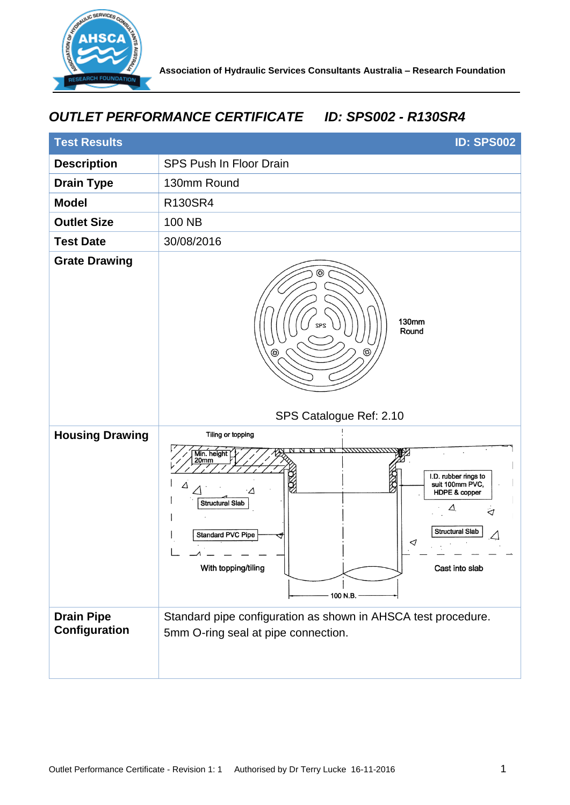

## *OUTLET PERFORMANCE CERTIFICATE ID: SPS002 - R130SR4*

| <b>Test Results</b>                | <b>ID: SPS002</b>                                                                                                                                                                                                                                                                                            |
|------------------------------------|--------------------------------------------------------------------------------------------------------------------------------------------------------------------------------------------------------------------------------------------------------------------------------------------------------------|
| <b>Description</b>                 | <b>SPS Push In Floor Drain</b>                                                                                                                                                                                                                                                                               |
| <b>Drain Type</b>                  | 130mm Round                                                                                                                                                                                                                                                                                                  |
| <b>Model</b>                       | R130SR4                                                                                                                                                                                                                                                                                                      |
| <b>Outlet Size</b>                 | 100 NB                                                                                                                                                                                                                                                                                                       |
| <b>Test Date</b>                   | 30/08/2016                                                                                                                                                                                                                                                                                                   |
| <b>Grate Drawing</b>               | ☺<br>130mm<br><b>ZPS</b><br>Round<br>☺                                                                                                                                                                                                                                                                       |
|                                    | SPS Catalogue Ref: 2.10                                                                                                                                                                                                                                                                                      |
| <b>Housing Drawing</b>             | Tiling or topping<br>,,,,,,,,,,,,,,<br>Min. height<br>20mm<br>I.D. rubber rings to<br>Z<br>S<br>suit 100mm PVC,<br>Δ<br>$\cdot \Delta$<br>HDPE & copper<br><b>Structural Slab</b><br>Δ.<br>⊲<br><b>Structural Slab</b><br><b>Standard PVC Pipe</b><br>◁<br>With topping/tiling<br>Cast into slab<br>100 N.B. |
| <b>Drain Pipe</b><br>Configuration | Standard pipe configuration as shown in AHSCA test procedure.<br>5mm O-ring seal at pipe connection.                                                                                                                                                                                                         |